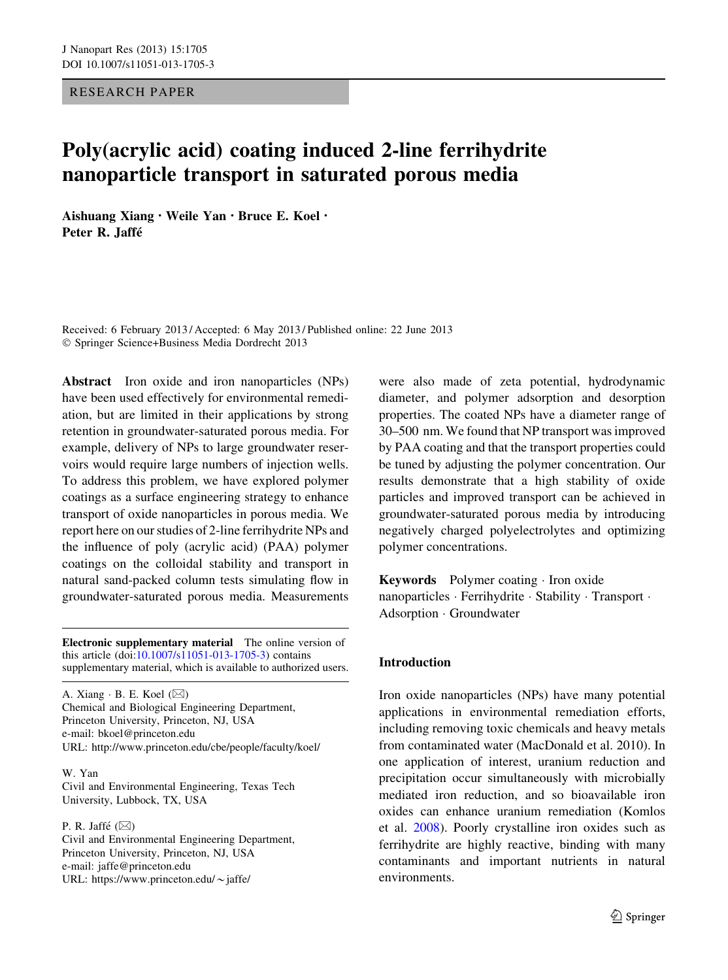RESEARCH PAPER

# Poly(acrylic acid) coating induced 2-line ferrihydrite nanoparticle transport in saturated porous media

Aishuang Xiang • Weile Yan • Bruce E. Koel • Peter R. Jaffé

Received: 6 February 2013 / Accepted: 6 May 2013 / Published online: 22 June 2013 - Springer Science+Business Media Dordrecht 2013

Abstract Iron oxide and iron nanoparticles (NPs) have been used effectively for environmental remediation, but are limited in their applications by strong retention in groundwater-saturated porous media. For example, delivery of NPs to large groundwater reservoirs would require large numbers of injection wells. To address this problem, we have explored polymer coatings as a surface engineering strategy to enhance transport of oxide nanoparticles in porous media. We report here on our studies of 2-line ferrihydrite NPs and the influence of poly (acrylic acid) (PAA) polymer coatings on the colloidal stability and transport in natural sand-packed column tests simulating flow in groundwater-saturated porous media. Measurements

Electronic supplementary material The online version of this article (doi[:10.1007/s11051-013-1705-3\)](http://dx.doi.org/10.1007/s11051-013-1705-3) contains supplementary material, which is available to authorized users.

A. Xiang  $\cdot$  B. E. Koel ( $\boxtimes$ ) Chemical and Biological Engineering Department, Princeton University, Princeton, NJ, USA e-mail: bkoel@princeton.edu URL: http://www.princeton.edu/cbe/people/faculty/koel/

W. Yan Civil and Environmental Engineering, Texas Tech University, Lubbock, TX, USA

P. R. Jaffé $(\boxtimes)$ Civil and Environmental Engineering Department, Princeton University, Princeton, NJ, USA e-mail: jaffe@princeton.edu URL: https://www.princeton.edu/ $\sim$ jaffe/

were also made of zeta potential, hydrodynamic diameter, and polymer adsorption and desorption properties. The coated NPs have a diameter range of 30–500 nm. We found that NP transport was improved by PAA coating and that the transport properties could be tuned by adjusting the polymer concentration. Our results demonstrate that a high stability of oxide particles and improved transport can be achieved in groundwater-saturated porous media by introducing negatively charged polyelectrolytes and optimizing polymer concentrations.

Keywords Polymer coating - Iron oxide nanoparticles - Ferrihydrite - Stability - Transport - Adsorption - Groundwater

#### Introduction

Iron oxide nanoparticles (NPs) have many potential applications in environmental remediation efforts, including removing toxic chemicals and heavy metals from contaminated water (MacDonald et al. 2010). In one application of interest, uranium reduction and precipitation occur simultaneously with microbially mediated iron reduction, and so bioavailable iron oxides can enhance uranium remediation (Komlos et al. [2008\)](#page-8-0). Poorly crystalline iron oxides such as ferrihydrite are highly reactive, binding with many contaminants and important nutrients in natural environments.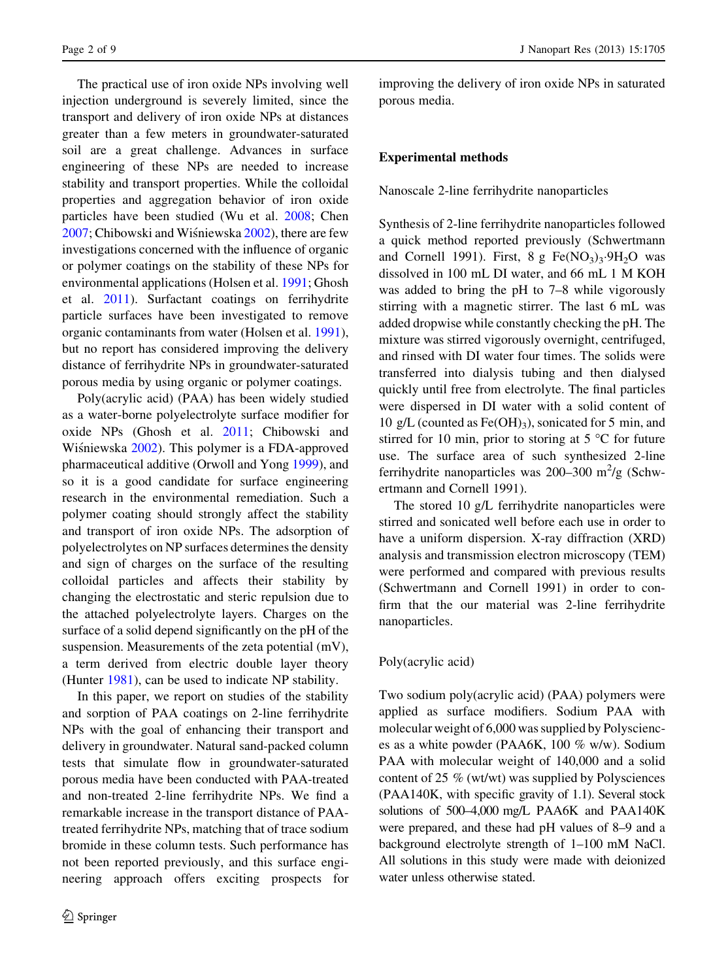The practical use of iron oxide NPs involving well injection underground is severely limited, since the transport and delivery of iron oxide NPs at distances greater than a few meters in groundwater-saturated soil are a great challenge. Advances in surface engineering of these NPs are needed to increase stability and transport properties. While the colloidal properties and aggregation behavior of iron oxide particles have been studied (Wu et al. [2008;](#page-8-0) Chen  $2007$ ; Chibowski and Wiśniewska  $2002$ ), there are few investigations concerned with the influence of organic or polymer coatings on the stability of these NPs for environmental applications (Holsen et al. [1991](#page-8-0); Ghosh et al. [2011\)](#page-8-0). Surfactant coatings on ferrihydrite particle surfaces have been investigated to remove organic contaminants from water (Holsen et al. [1991](#page-8-0)), but no report has considered improving the delivery distance of ferrihydrite NPs in groundwater-saturated porous media by using organic or polymer coatings.

Poly(acrylic acid) (PAA) has been widely studied as a water-borne polyelectrolyte surface modifier for oxide NPs (Ghosh et al. [2011](#page-8-0); Chibowski and Wiśniewska [2002\)](#page-8-0). This polymer is a FDA-approved pharmaceutical additive (Orwoll and Yong [1999\)](#page-8-0), and so it is a good candidate for surface engineering research in the environmental remediation. Such a polymer coating should strongly affect the stability and transport of iron oxide NPs. The adsorption of polyelectrolytes on NP surfaces determines the density and sign of charges on the surface of the resulting colloidal particles and affects their stability by changing the electrostatic and steric repulsion due to the attached polyelectrolyte layers. Charges on the surface of a solid depend significantly on the pH of the suspension. Measurements of the zeta potential (mV), a term derived from electric double layer theory (Hunter [1981\)](#page-8-0), can be used to indicate NP stability.

In this paper, we report on studies of the stability and sorption of PAA coatings on 2-line ferrihydrite NPs with the goal of enhancing their transport and delivery in groundwater. Natural sand-packed column tests that simulate flow in groundwater-saturated porous media have been conducted with PAA-treated and non-treated 2-line ferrihydrite NPs. We find a remarkable increase in the transport distance of PAAtreated ferrihydrite NPs, matching that of trace sodium bromide in these column tests. Such performance has not been reported previously, and this surface engineering approach offers exciting prospects for improving the delivery of iron oxide NPs in saturated porous media.

# Experimental methods

Nanoscale 2-line ferrihydrite nanoparticles

Synthesis of 2-line ferrihydrite nanoparticles followed a quick method reported previously (Schwertmann and Cornell 1991). First,  $8 \text{ g } \text{Fe}(\text{NO}_3)_3 \cdot 9\text{H}_2\text{O}$  was dissolved in 100 mL DI water, and 66 mL 1 M KOH was added to bring the pH to 7–8 while vigorously stirring with a magnetic stirrer. The last 6 mL was added dropwise while constantly checking the pH. The mixture was stirred vigorously overnight, centrifuged, and rinsed with DI water four times. The solids were transferred into dialysis tubing and then dialysed quickly until free from electrolyte. The final particles were dispersed in DI water with a solid content of 10 g/L (counted as  $Fe(OH)_3$ ), sonicated for 5 min, and stirred for 10 min, prior to storing at  $5^{\circ}$ C for future use. The surface area of such synthesized 2-line ferrihydrite nanoparticles was 200-300 m<sup>2</sup>/g (Schwertmann and Cornell 1991).

The stored 10 g/L ferrihydrite nanoparticles were stirred and sonicated well before each use in order to have a uniform dispersion. X-ray diffraction (XRD) analysis and transmission electron microscopy (TEM) were performed and compared with previous results (Schwertmann and Cornell 1991) in order to confirm that the our material was 2-line ferrihydrite nanoparticles.

# Poly(acrylic acid)

Two sodium poly(acrylic acid) (PAA) polymers were applied as surface modifiers. Sodium PAA with molecular weight of 6,000 was supplied by Polysciences as a white powder (PAA6K, 100 % w/w). Sodium PAA with molecular weight of 140,000 and a solid content of 25 % (wt/wt) was supplied by Polysciences (PAA140K, with specific gravity of 1.1). Several stock solutions of 500–4,000 mg/L PAA6K and PAA140K were prepared, and these had pH values of 8–9 and a background electrolyte strength of 1–100 mM NaCl. All solutions in this study were made with deionized water unless otherwise stated.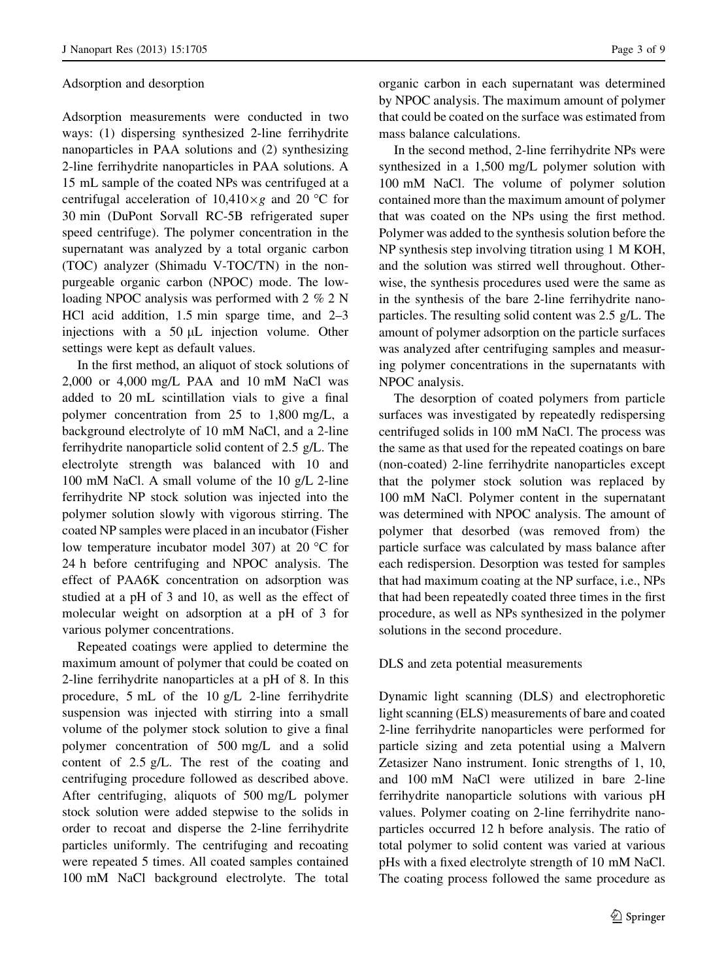# Adsorption and desorption

Adsorption measurements were conducted in two ways: (1) dispersing synthesized 2-line ferrihydrite nanoparticles in PAA solutions and (2) synthesizing 2-line ferrihydrite nanoparticles in PAA solutions. A 15 mL sample of the coated NPs was centrifuged at a centrifugal acceleration of  $10,410\times g$  and 20 °C for 30 min (DuPont Sorvall RC-5B refrigerated super speed centrifuge). The polymer concentration in the supernatant was analyzed by a total organic carbon (TOC) analyzer (Shimadu V-TOC/TN) in the nonpurgeable organic carbon (NPOC) mode. The lowloading NPOC analysis was performed with 2 % 2 N HCl acid addition, 1.5 min sparge time, and 2–3 injections with a  $50 \mu L$  injection volume. Other settings were kept as default values.

In the first method, an aliquot of stock solutions of 2,000 or 4,000 mg/L PAA and 10 mM NaCl was added to 20 mL scintillation vials to give a final polymer concentration from 25 to 1,800 mg/L, a background electrolyte of 10 mM NaCl, and a 2-line ferrihydrite nanoparticle solid content of 2.5 g/L. The electrolyte strength was balanced with 10 and 100 mM NaCl. A small volume of the 10 g/L 2-line ferrihydrite NP stock solution was injected into the polymer solution slowly with vigorous stirring. The coated NP samples were placed in an incubator (Fisher low temperature incubator model 307) at 20  $^{\circ}$ C for 24 h before centrifuging and NPOC analysis. The effect of PAA6K concentration on adsorption was studied at a pH of 3 and 10, as well as the effect of molecular weight on adsorption at a pH of 3 for various polymer concentrations.

Repeated coatings were applied to determine the maximum amount of polymer that could be coated on 2-line ferrihydrite nanoparticles at a pH of 8. In this procedure, 5 mL of the 10 g/L 2-line ferrihydrite suspension was injected with stirring into a small volume of the polymer stock solution to give a final polymer concentration of 500 mg/L and a solid content of 2.5 g/L. The rest of the coating and centrifuging procedure followed as described above. After centrifuging, aliquots of 500 mg/L polymer stock solution were added stepwise to the solids in order to recoat and disperse the 2-line ferrihydrite particles uniformly. The centrifuging and recoating were repeated 5 times. All coated samples contained 100 mM NaCl background electrolyte. The total

organic carbon in each supernatant was determined by NPOC analysis. The maximum amount of polymer that could be coated on the surface was estimated from mass balance calculations.

In the second method, 2-line ferrihydrite NPs were synthesized in a 1,500 mg/L polymer solution with 100 mM NaCl. The volume of polymer solution contained more than the maximum amount of polymer that was coated on the NPs using the first method. Polymer was added to the synthesis solution before the NP synthesis step involving titration using 1 M KOH, and the solution was stirred well throughout. Otherwise, the synthesis procedures used were the same as in the synthesis of the bare 2-line ferrihydrite nanoparticles. The resulting solid content was 2.5 g/L. The amount of polymer adsorption on the particle surfaces was analyzed after centrifuging samples and measuring polymer concentrations in the supernatants with NPOC analysis.

The desorption of coated polymers from particle surfaces was investigated by repeatedly redispersing centrifuged solids in 100 mM NaCl. The process was the same as that used for the repeated coatings on bare (non-coated) 2-line ferrihydrite nanoparticles except that the polymer stock solution was replaced by 100 mM NaCl. Polymer content in the supernatant was determined with NPOC analysis. The amount of polymer that desorbed (was removed from) the particle surface was calculated by mass balance after each redispersion. Desorption was tested for samples that had maximum coating at the NP surface, i.e., NPs that had been repeatedly coated three times in the first procedure, as well as NPs synthesized in the polymer solutions in the second procedure.

# DLS and zeta potential measurements

Dynamic light scanning (DLS) and electrophoretic light scanning (ELS) measurements of bare and coated 2-line ferrihydrite nanoparticles were performed for particle sizing and zeta potential using a Malvern Zetasizer Nano instrument. Ionic strengths of 1, 10, and 100 mM NaCl were utilized in bare 2-line ferrihydrite nanoparticle solutions with various pH values. Polymer coating on 2-line ferrihydrite nanoparticles occurred 12 h before analysis. The ratio of total polymer to solid content was varied at various pHs with a fixed electrolyte strength of 10 mM NaCl. The coating process followed the same procedure as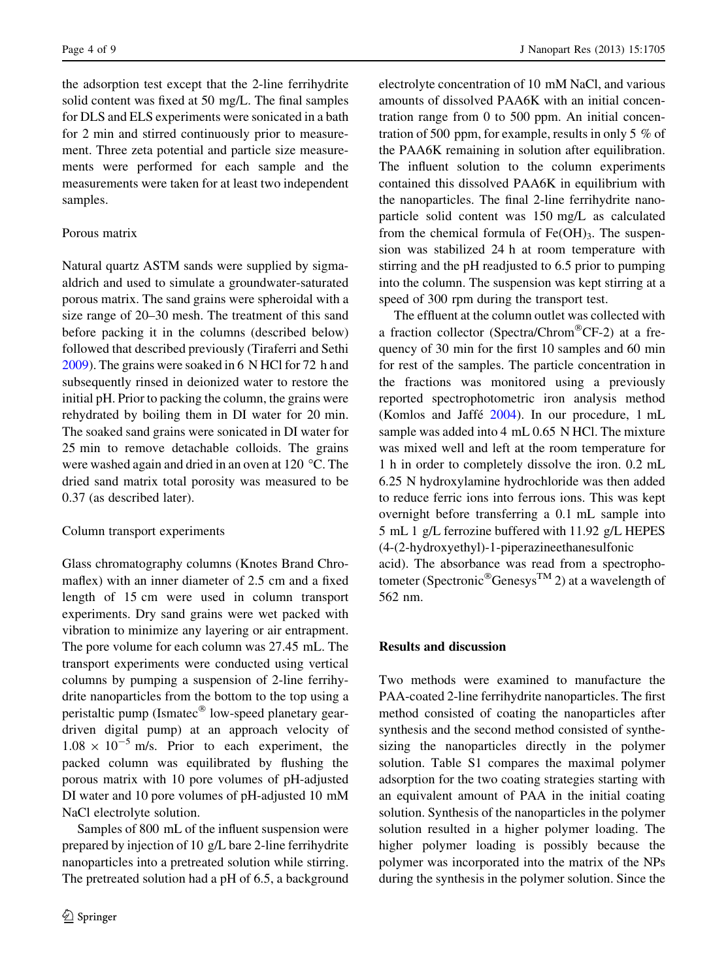the adsorption test except that the 2-line ferrihydrite solid content was fixed at 50 mg/L. The final samples for DLS and ELS experiments were sonicated in a bath for 2 min and stirred continuously prior to measurement. Three zeta potential and particle size measurements were performed for each sample and the measurements were taken for at least two independent samples.

# Porous matrix

Natural quartz ASTM sands were supplied by sigmaaldrich and used to simulate a groundwater-saturated porous matrix. The sand grains were spheroidal with a size range of 20–30 mesh. The treatment of this sand before packing it in the columns (described below) followed that described previously (Tiraferri and Sethi [2009\)](#page-8-0). The grains were soaked in 6 N HCl for 72 h and subsequently rinsed in deionized water to restore the initial pH. Prior to packing the column, the grains were rehydrated by boiling them in DI water for 20 min. The soaked sand grains were sonicated in DI water for 25 min to remove detachable colloids. The grains were washed again and dried in an oven at 120 °C. The dried sand matrix total porosity was measured to be 0.37 (as described later).

# Column transport experiments

Glass chromatography columns (Knotes Brand Chromaflex) with an inner diameter of 2.5 cm and a fixed length of 15 cm were used in column transport experiments. Dry sand grains were wet packed with vibration to minimize any layering or air entrapment. The pore volume for each column was 27.45 mL. The transport experiments were conducted using vertical columns by pumping a suspension of 2-line ferrihydrite nanoparticles from the bottom to the top using a peristaltic pump (Ismatec<sup>®</sup> low-speed planetary geardriven digital pump) at an approach velocity of  $1.08 \times 10^{-5}$  m/s. Prior to each experiment, the packed column was equilibrated by flushing the porous matrix with 10 pore volumes of pH-adjusted DI water and 10 pore volumes of pH-adjusted 10 mM NaCl electrolyte solution.

Samples of 800 mL of the influent suspension were prepared by injection of 10 g/L bare 2-line ferrihydrite nanoparticles into a pretreated solution while stirring. The pretreated solution had a pH of 6.5, a background electrolyte concentration of 10 mM NaCl, and various amounts of dissolved PAA6K with an initial concentration range from 0 to 500 ppm. An initial concentration of 500 ppm, for example, results in only 5 % of the PAA6K remaining in solution after equilibration. The influent solution to the column experiments contained this dissolved PAA6K in equilibrium with the nanoparticles. The final 2-line ferrihydrite nanoparticle solid content was 150 mg/L as calculated from the chemical formula of  $Fe(OH)<sub>3</sub>$ . The suspension was stabilized 24 h at room temperature with stirring and the pH readjusted to 6.5 prior to pumping into the column. The suspension was kept stirring at a speed of 300 rpm during the transport test.

The effluent at the column outlet was collected with a fraction collector (Spectra/Chrom<sup>®</sup>CF-2) at a frequency of 30 min for the first 10 samples and 60 min for rest of the samples. The particle concentration in the fractions was monitored using a previously reported spectrophotometric iron analysis method (Komlos and Jaffé  $2004$ ). In our procedure, 1 mL sample was added into 4 mL 0.65 N HCl. The mixture was mixed well and left at the room temperature for 1 h in order to completely dissolve the iron. 0.2 mL 6.25 N hydroxylamine hydrochloride was then added to reduce ferric ions into ferrous ions. This was kept overnight before transferring a 0.1 mL sample into 5 mL 1 g/L ferrozine buffered with 11.92 g/L HEPES (4-(2-hydroxyethyl)-1-piperazineethanesulfonic

acid). The absorbance was read from a spectrophotometer (Spectronic<sup>®</sup>Genesys<sup>TM</sup> 2) at a wavelength of 562 nm.

# Results and discussion

Two methods were examined to manufacture the PAA-coated 2-line ferrihydrite nanoparticles. The first method consisted of coating the nanoparticles after synthesis and the second method consisted of synthesizing the nanoparticles directly in the polymer solution. Table S1 compares the maximal polymer adsorption for the two coating strategies starting with an equivalent amount of PAA in the initial coating solution. Synthesis of the nanoparticles in the polymer solution resulted in a higher polymer loading. The higher polymer loading is possibly because the polymer was incorporated into the matrix of the NPs during the synthesis in the polymer solution. Since the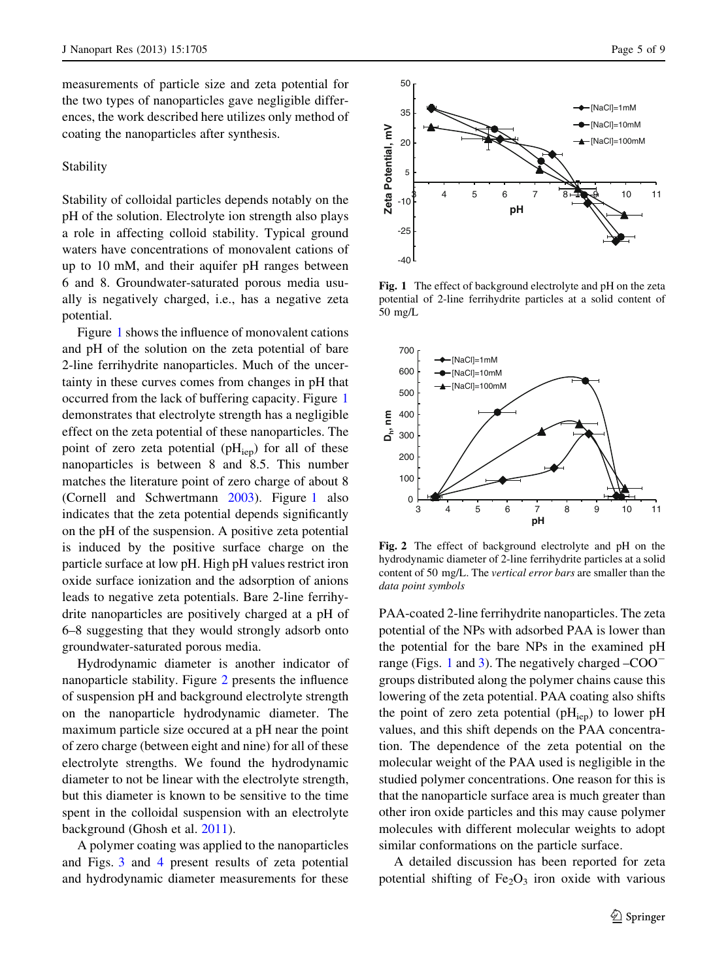measurements of particle size and zeta potential for the two types of nanoparticles gave negligible differences, the work described here utilizes only method of coating the nanoparticles after synthesis.

#### **Stability**

Stability of colloidal particles depends notably on the pH of the solution. Electrolyte ion strength also plays a role in affecting colloid stability. Typical ground waters have concentrations of monovalent cations of up to 10 mM, and their aquifer pH ranges between 6 and 8. Groundwater-saturated porous media usually is negatively charged, i.e., has a negative zeta potential.

Figure 1 shows the influence of monovalent cations and pH of the solution on the zeta potential of bare 2-line ferrihydrite nanoparticles. Much of the uncertainty in these curves comes from changes in pH that occurred from the lack of buffering capacity. Figure 1 demonstrates that electrolyte strength has a negligible effect on the zeta potential of these nanoparticles. The point of zero zeta potential  $(pH_{\text{iep}})$  for all of these nanoparticles is between 8 and 8.5. This number matches the literature point of zero charge of about 8 (Cornell and Schwertmann [2003](#page-8-0)). Figure 1 also indicates that the zeta potential depends significantly on the pH of the suspension. A positive zeta potential is induced by the positive surface charge on the particle surface at low pH. High pH values restrict iron oxide surface ionization and the adsorption of anions leads to negative zeta potentials. Bare 2-line ferrihydrite nanoparticles are positively charged at a pH of 6–8 suggesting that they would strongly adsorb onto groundwater-saturated porous media.

Hydrodynamic diameter is another indicator of nanoparticle stability. Figure 2 presents the influence of suspension pH and background electrolyte strength on the nanoparticle hydrodynamic diameter. The maximum particle size occured at a pH near the point of zero charge (between eight and nine) for all of these electrolyte strengths. We found the hydrodynamic diameter to not be linear with the electrolyte strength, but this diameter is known to be sensitive to the time spent in the colloidal suspension with an electrolyte background (Ghosh et al. [2011](#page-8-0)).

A polymer coating was applied to the nanoparticles and Figs. [3](#page-5-0) and [4](#page-5-0) present results of zeta potential and hydrodynamic diameter measurements for these



Fig. 1 The effect of background electrolyte and pH on the zeta potential of 2-line ferrihydrite particles at a solid content of 50 mg/L



Fig. 2 The effect of background electrolyte and pH on the hydrodynamic diameter of 2-line ferrihydrite particles at a solid content of 50 mg/L. The vertical error bars are smaller than the data point symbols

PAA-coated 2-line ferrihydrite nanoparticles. The zeta potential of the NPs with adsorbed PAA is lower than the potential for the bare NPs in the examined pH range (Figs. 1 and [3\)](#page-5-0). The negatively charged –COOgroups distributed along the polymer chains cause this lowering of the zeta potential. PAA coating also shifts the point of zero zeta potential  $(pH_{\text{iep}})$  to lower pH values, and this shift depends on the PAA concentration. The dependence of the zeta potential on the molecular weight of the PAA used is negligible in the studied polymer concentrations. One reason for this is that the nanoparticle surface area is much greater than other iron oxide particles and this may cause polymer molecules with different molecular weights to adopt similar conformations on the particle surface.

A detailed discussion has been reported for zeta potential shifting of  $Fe<sub>2</sub>O<sub>3</sub>$  iron oxide with various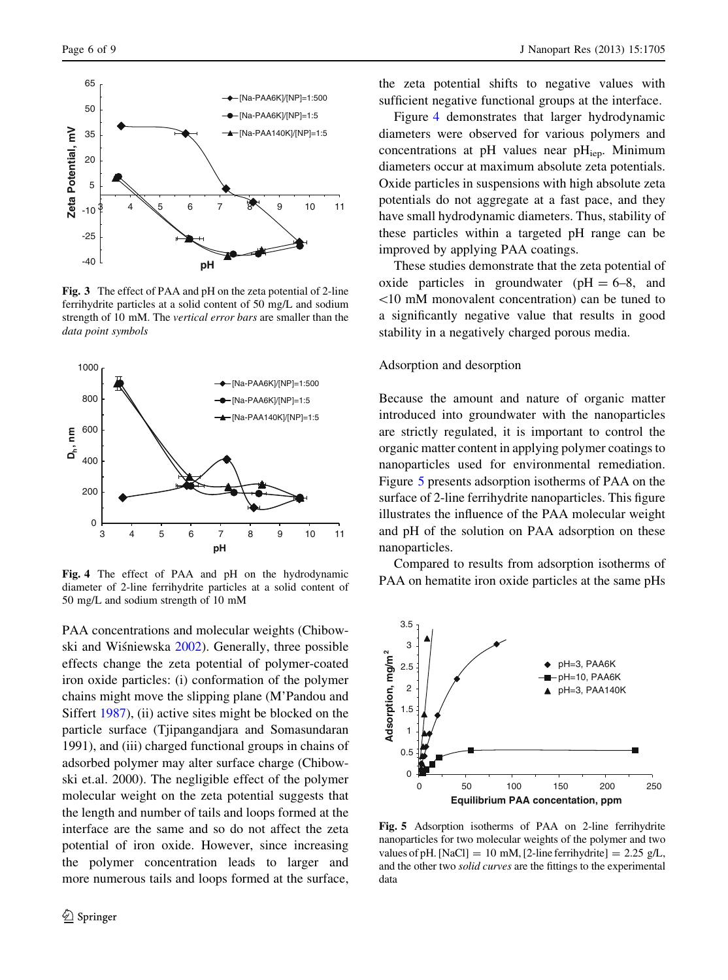<span id="page-5-0"></span>

Fig. 3 The effect of PAA and pH on the zeta potential of 2-line ferrihydrite particles at a solid content of 50 mg/L and sodium strength of 10 mM. The vertical error bars are smaller than the data point symbols



Fig. 4 The effect of PAA and pH on the hydrodynamic diameter of 2-line ferrihydrite particles at a solid content of 50 mg/L and sodium strength of 10 mM

PAA concentrations and molecular weights (Chibow-ski and Wiśniewska [2002\)](#page-8-0). Generally, three possible effects change the zeta potential of polymer-coated iron oxide particles: (i) conformation of the polymer chains might move the slipping plane (M'Pandou and Siffert [1987\)](#page-8-0), (ii) active sites might be blocked on the particle surface (Tjipangandjara and Somasundaran 1991), and (iii) charged functional groups in chains of adsorbed polymer may alter surface charge (Chibowski et.al. 2000). The negligible effect of the polymer molecular weight on the zeta potential suggests that the length and number of tails and loops formed at the interface are the same and so do not affect the zeta potential of iron oxide. However, since increasing the polymer concentration leads to larger and more numerous tails and loops formed at the surface,

the zeta potential shifts to negative values with sufficient negative functional groups at the interface.

Figure 4 demonstrates that larger hydrodynamic diameters were observed for various polymers and concentrations at pH values near  $pH_{\text{iep}}$ . Minimum diameters occur at maximum absolute zeta potentials. Oxide particles in suspensions with high absolute zeta potentials do not aggregate at a fast pace, and they have small hydrodynamic diameters. Thus, stability of these particles within a targeted pH range can be improved by applying PAA coatings.

These studies demonstrate that the zeta potential of oxide particles in groundwater ( $pH = 6-8$ , and \10 mM monovalent concentration) can be tuned to a significantly negative value that results in good stability in a negatively charged porous media.

#### Adsorption and desorption

Because the amount and nature of organic matter introduced into groundwater with the nanoparticles are strictly regulated, it is important to control the organic matter content in applying polymer coatings to nanoparticles used for environmental remediation. Figure 5 presents adsorption isotherms of PAA on the surface of 2-line ferrihydrite nanoparticles. This figure illustrates the influence of the PAA molecular weight and pH of the solution on PAA adsorption on these nanoparticles.

Compared to results from adsorption isotherms of PAA on hematite iron oxide particles at the same pHs



Fig. 5 Adsorption isotherms of PAA on 2-line ferrihydrite nanoparticles for two molecular weights of the polymer and two values of pH. [NaCl] = 10 mM, [2-line ferrihydrite] =  $2.25$  g/L, and the other two solid curves are the fittings to the experimental data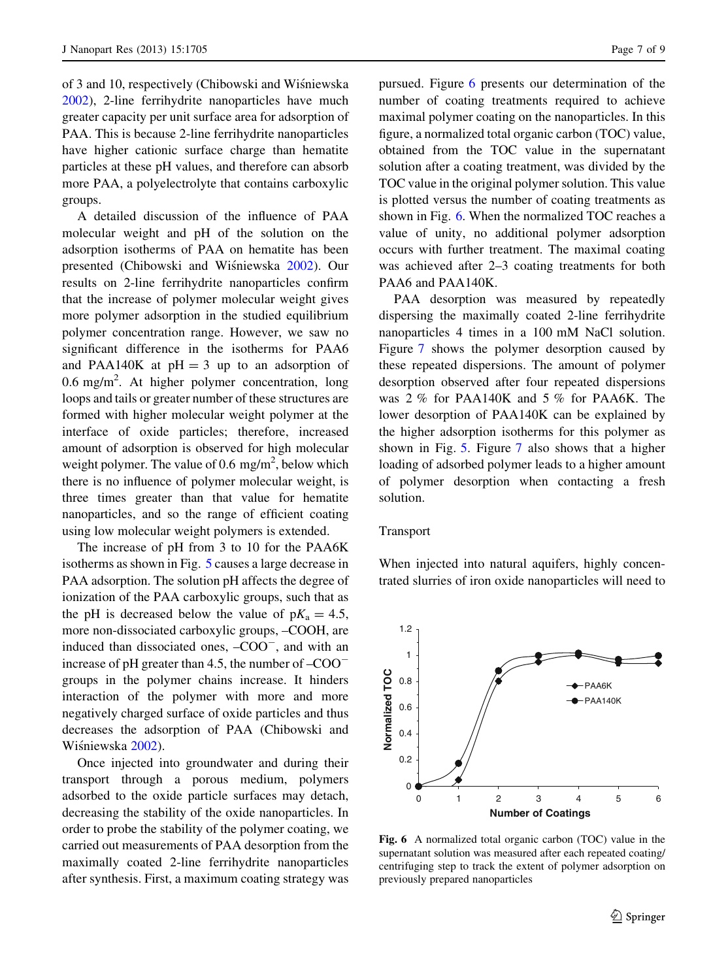of 3 and 10, respectively (Chibowski and Wisniewska [2002\)](#page-8-0), 2-line ferrihydrite nanoparticles have much greater capacity per unit surface area for adsorption of PAA. This is because 2-line ferrihydrite nanoparticles have higher cationic surface charge than hematite particles at these pH values, and therefore can absorb more PAA, a polyelectrolyte that contains carboxylic groups.

A detailed discussion of the influence of PAA molecular weight and pH of the solution on the adsorption isotherms of PAA on hematite has been presented (Chibowski and Wiśniewska [2002\)](#page-8-0). Our results on 2-line ferrihydrite nanoparticles confirm that the increase of polymer molecular weight gives more polymer adsorption in the studied equilibrium polymer concentration range. However, we saw no significant difference in the isotherms for PAA6 and PAA140K at  $pH = 3$  up to an adsorption of 0.6 mg/m<sup>2</sup>. At higher polymer concentration, long loops and tails or greater number of these structures are formed with higher molecular weight polymer at the interface of oxide particles; therefore, increased amount of adsorption is observed for high molecular weight polymer. The value of 0.6 mg/m<sup>2</sup>, below which there is no influence of polymer molecular weight, is three times greater than that value for hematite nanoparticles, and so the range of efficient coating using low molecular weight polymers is extended.

The increase of pH from 3 to 10 for the PAA6K isotherms as shown in Fig. [5](#page-5-0) causes a large decrease in PAA adsorption. The solution pH affects the degree of ionization of the PAA carboxylic groups, such that as the pH is decreased below the value of  $pK_a = 4.5$ , more non-dissociated carboxylic groups, –COOH, are induced than dissociated ones,  $-COO^-$ , and with an increase of pH greater than 4.5, the number of –COOgroups in the polymer chains increase. It hinders interaction of the polymer with more and more negatively charged surface of oxide particles and thus decreases the adsorption of PAA (Chibowski and Wiśniewska [2002](#page-8-0)).

Once injected into groundwater and during their transport through a porous medium, polymers adsorbed to the oxide particle surfaces may detach, decreasing the stability of the oxide nanoparticles. In order to probe the stability of the polymer coating, we carried out measurements of PAA desorption from the maximally coated 2-line ferrihydrite nanoparticles after synthesis. First, a maximum coating strategy was pursued. Figure 6 presents our determination of the number of coating treatments required to achieve maximal polymer coating on the nanoparticles. In this figure, a normalized total organic carbon (TOC) value, obtained from the TOC value in the supernatant solution after a coating treatment, was divided by the TOC value in the original polymer solution. This value is plotted versus the number of coating treatments as shown in Fig. 6. When the normalized TOC reaches a value of unity, no additional polymer adsorption occurs with further treatment. The maximal coating was achieved after 2–3 coating treatments for both PAA6 and PAA140K.

PAA desorption was measured by repeatedly dispersing the maximally coated 2-line ferrihydrite nanoparticles 4 times in a 100 mM NaCl solution. Figure [7](#page-7-0) shows the polymer desorption caused by these repeated dispersions. The amount of polymer desorption observed after four repeated dispersions was 2 % for PAA140K and 5 % for PAA6K. The lower desorption of PAA140K can be explained by the higher adsorption isotherms for this polymer as shown in Fig. [5](#page-5-0). Figure [7](#page-7-0) also shows that a higher loading of adsorbed polymer leads to a higher amount of polymer desorption when contacting a fresh solution.

#### Transport

When injected into natural aquifers, highly concentrated slurries of iron oxide nanoparticles will need to



Fig. 6 A normalized total organic carbon (TOC) value in the supernatant solution was measured after each repeated coating/ centrifuging step to track the extent of polymer adsorption on previously prepared nanoparticles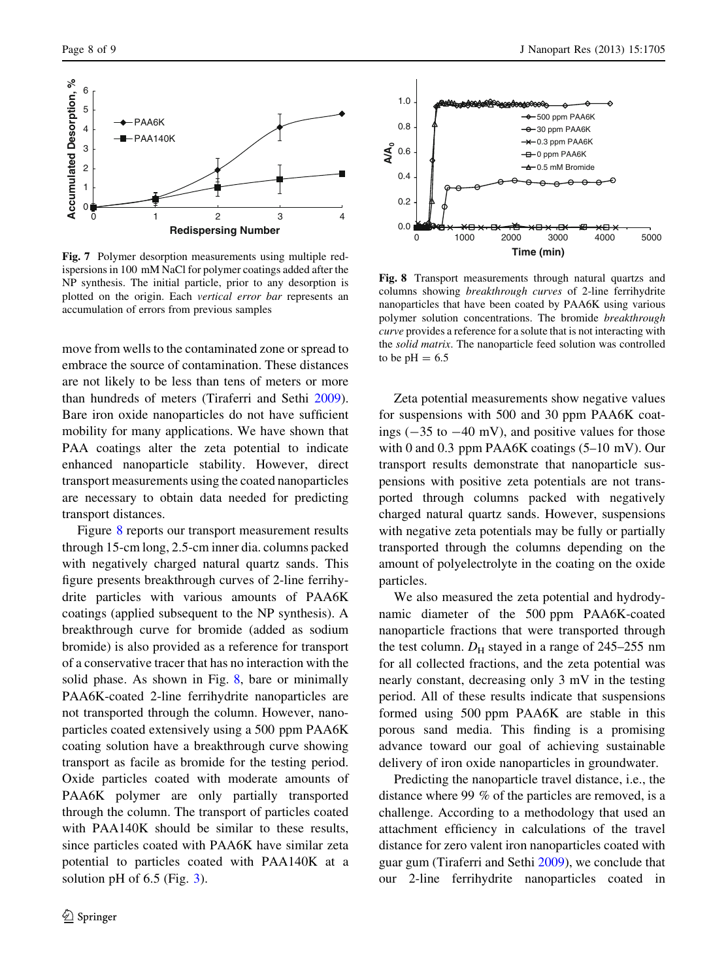<span id="page-7-0"></span>

Fig. 7 Polymer desorption measurements using multiple redispersions in 100 mM NaCl for polymer coatings added after the NP synthesis. The initial particle, prior to any desorption is plotted on the origin. Each vertical error bar represents an accumulation of errors from previous samples

move from wells to the contaminated zone or spread to embrace the source of contamination. These distances are not likely to be less than tens of meters or more than hundreds of meters (Tiraferri and Sethi [2009](#page-8-0)). Bare iron oxide nanoparticles do not have sufficient mobility for many applications. We have shown that PAA coatings alter the zeta potential to indicate enhanced nanoparticle stability. However, direct transport measurements using the coated nanoparticles are necessary to obtain data needed for predicting transport distances.

Figure 8 reports our transport measurement results through 15-cm long, 2.5-cm inner dia. columns packed with negatively charged natural quartz sands. This figure presents breakthrough curves of 2-line ferrihydrite particles with various amounts of PAA6K coatings (applied subsequent to the NP synthesis). A breakthrough curve for bromide (added as sodium bromide) is also provided as a reference for transport of a conservative tracer that has no interaction with the solid phase. As shown in Fig. 8, bare or minimally PAA6K-coated 2-line ferrihydrite nanoparticles are not transported through the column. However, nanoparticles coated extensively using a 500 ppm PAA6K coating solution have a breakthrough curve showing transport as facile as bromide for the testing period. Oxide particles coated with moderate amounts of PAA6K polymer are only partially transported through the column. The transport of particles coated with PAA140K should be similar to these results, since particles coated with PAA6K have similar zeta potential to particles coated with PAA140K at a solution pH of  $6.5$  (Fig. [3\)](#page-5-0).



Fig. 8 Transport measurements through natural quartzs and columns showing breakthrough curves of 2-line ferrihydrite nanoparticles that have been coated by PAA6K using various polymer solution concentrations. The bromide breakthrough curve provides a reference for a solute that is not interacting with the solid matrix. The nanoparticle feed solution was controlled to be  $pH = 6.5$ 

Zeta potential measurements show negative values for suspensions with 500 and 30 ppm PAA6K coatings  $(-35 \text{ to } -40 \text{ mV})$ , and positive values for those with 0 and 0.3 ppm PAA6K coatings (5–10 mV). Our transport results demonstrate that nanoparticle suspensions with positive zeta potentials are not transported through columns packed with negatively charged natural quartz sands. However, suspensions with negative zeta potentials may be fully or partially transported through the columns depending on the amount of polyelectrolyte in the coating on the oxide particles.

We also measured the zeta potential and hydrodynamic diameter of the 500 ppm PAA6K-coated nanoparticle fractions that were transported through the test column.  $D_H$  stayed in a range of 245–255 nm for all collected fractions, and the zeta potential was nearly constant, decreasing only 3 mV in the testing period. All of these results indicate that suspensions formed using 500 ppm PAA6K are stable in this porous sand media. This finding is a promising advance toward our goal of achieving sustainable delivery of iron oxide nanoparticles in groundwater.

Predicting the nanoparticle travel distance, i.e., the distance where 99 % of the particles are removed, is a challenge. According to a methodology that used an attachment efficiency in calculations of the travel distance for zero valent iron nanoparticles coated with guar gum (Tiraferri and Sethi [2009\)](#page-8-0), we conclude that our 2-line ferrihydrite nanoparticles coated in